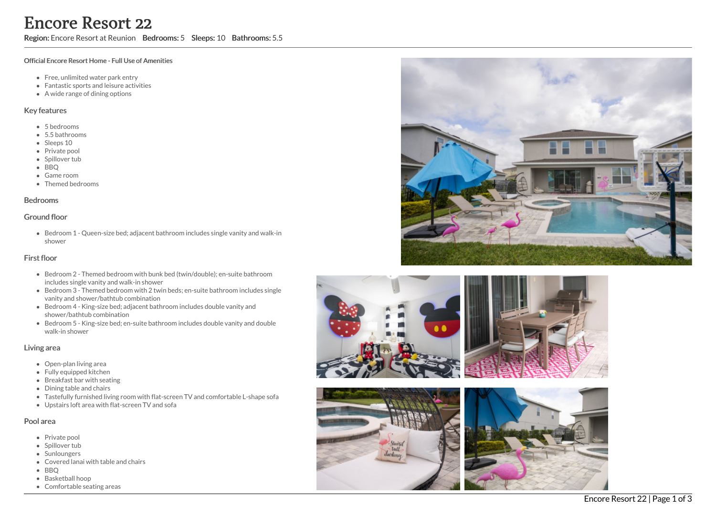## Region: Encore Resort at Reunion Bedrooms: 5 Sleeps: 10 Bathrooms: 5.5

#### Official Encore Resort Home - Full Use of Amenities

- Free, unlimited water park entry
- Fantastic sports and leisure activities
- A wide range of dining options

### Key features

- 5 b e d r o o m s
- 5.5 b a t h r o o m s
- Sleeps 10
- Private pool
- Spillover tub
- BBQ
- Game room
- Themed bedr o o m s

#### **Bedrooms**

#### Ground floor

Bedroom 1 - Queen-size bed; adjacent bathroom includes single vanity and walk-in s h o w e r

## First floor

- Bedroom 2 Themed bedroom with bunk bed (twin/double); en-suite bathroom includes single vanity and walk-in shower
- Bedroom 3 Themed bedroom with 2 twin beds; en-suite bathroom includes sin gle vanity and shower/bathtub combination
- Bedroom 4 King-size bed; adjacent bathroom includes double vanity and shower/bathtub combination
- Bedroom 5 King-size bed; en-suite bathroom includes double vanity and double walk-in shower

#### Living area

- Open-plan living area
- Fully equipped kitchen
- Breakfast bar with seating
- Dining table and chairs
- Tastefully furnished living room with flat-screen TV and comfortable L-shape sofa
- Upstairs loft area with flat-screen TV and sofa

## Pool area

- Private pool
- Spillover tub
- Sunloungers
- Covered lanai with table and chairs
- B B Q
- Basketball hoop
- Comfortable seating areas







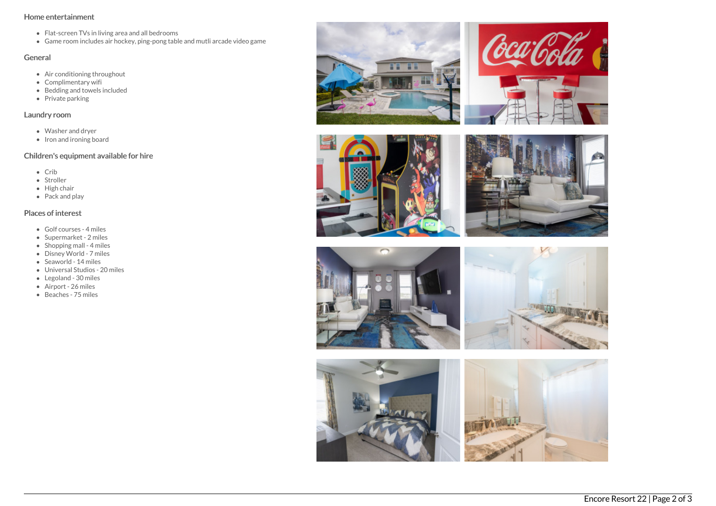## Home entertainment

- Flat-screen TVs in living area and all bedrooms
- Game room includes air hockey, ping-pong table and mutli arcade video game

## General

- Air conditioning throughout
- Complimentary wifi
- Bedding and towels included
- Private parking

## Laundry room

- Washer and dryer
- $\bullet$  Iron and ironing board

# Children's equipment available for hire

- Crib
- Stroller
- High chair
- Pack and play

# Places of interest

- Golf courses 4 miles
- Supermarket 2 miles
- $\bullet$  Shopping mall 4 miles
- Disney World 7 miles
- Seaworld 14 miles
- Universal Studios 20 miles
- Legoland 30 miles
- Airport 26 miles
- Beaches 75 miles